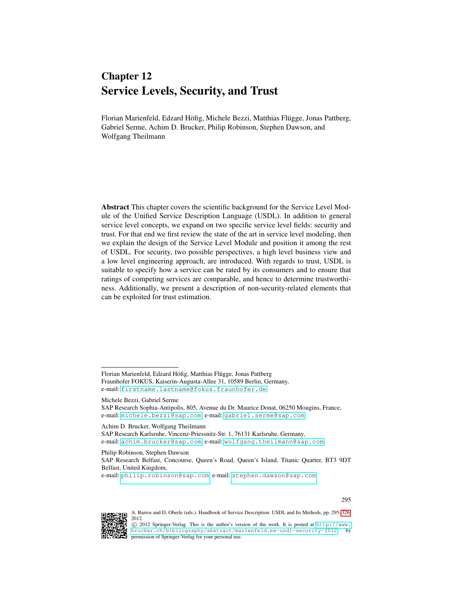# Chapter 12 Service Levels, Security, and Trust

Florian Marienfeld, Edzard Höfig, Michele Bezzi, Matthias Flügge, Jonas Pattberg, Gabriel Serme, Achim D. Brucker, Philip Robinson, Stephen Dawson, and Wolfgang Theilmann

Abstract This chapter covers the scientific background for the Service Level Module of the Unified Service Description Language (USDL). In addition to general service level concepts, we expand on two specific service level fields: security and trust. For that end we first review the state of the art in service level modeling, then we explain the design of the Service Level Module and position it among the rest of USDL. For security, two possible perspectives, a high level business view and a low level engineering approach, are introduced. With regards to trust, USDL is suitable to specify how a service can be rated by its consumers and to ensure that ratings of competing services are comparable, and hence to determine trustworthiness. Additionally, we present a description of non-security-related elements that can be exploited for trust estimation.

[Michele Bez](achim.brucker@sap.com)zi, Gab[riel Serme](wolfgang.theilmann@sap.com)

SAP Research Sophia-Antipolis, 805, Avenue du Dr. Maurice Donat, 06250 Mougins, France, e-mail: michele.bezzi@sap.com, e-mail: gabriel.serme@sap.com

Achim D. Brucker, Wolfgang Theilmann [SAP Research K](philip.robinson@sap.com)arlsru[he, Vincenz-Priessnitz-Str. 1, 76131](stephen.dawson@sap.com) Karlsruhe, Germany, e-mail: achim.brucker@sap.com, e-mail: wolfgang.theilmann@sap.com

Philip Robinson, Stephen Dawson

SAP Research Belfast, Concourse, Queen's Road, Queen's Island, Titanic Quarter, BT3 9DT Belfast, United Kingdom,

e-mail: philip.robinson@sap.com, e-mail: ste[phen.dawson](http://www.brucker.ch/bibliography/abstract/marienfeld.ea-usdl-security-2012)@sap.com



A. Barros and D. Oberle (eds.). Handbook of Service Description: USDL and Its Methods, pp. 295–326, 2012.

 c 2012 Springer-Verlag. This is the author's version of the work. It is posted at http://www. brucker.ch/bibliography/abstract/marienfeld.ea-usdl-security-2012 by permission of Springer-Verlag for your personal use.

[Florian Mari](michele.bezzi@sap.com)enfeld, Edzard Höfig, Matthias Flügge, Jonas Pattberg Fraunhofer FOKUS, Kaiserin-Augusta-Allee 31, 10589 Berlin, Germany, e-mail: firstname.lastname@fokus.fraunhofer.de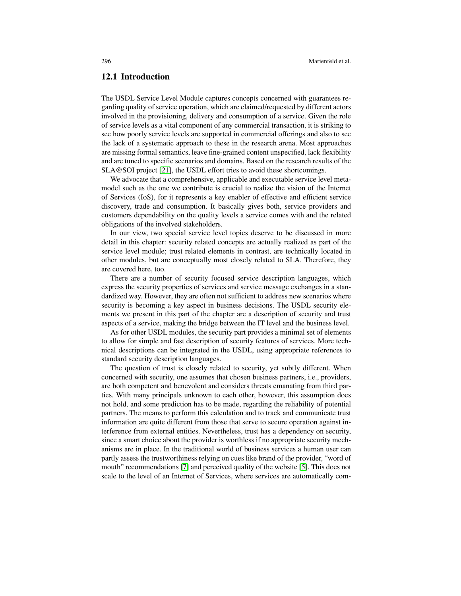#### 12.1 Introduction

The USDL Service Level Module captures concepts concerned with guarantees regarding quality of service operation, which are claimed/requested by different actors involved in the provisioning, delivery and consumption of a service. Given the role of service levels as a vital component of any commercial transaction, it is striking to see how poorly service levels are supported in commercial offerings and also to see the lack of a systematic approach to these in the research arena. Most approaches are missing formal semantics, leave fine-grained content unspecified, lack flexibility and are tuned to specific scenarios and domains. Based on the research results of the SLA@SOI project [21], the USDL effort tries to avoid these shortcomings.

We advocate that a comprehensive, applicable and executable service level metamodel such as the one we contribute is crucial to realize the vision of the Internet of Services (IoS), for it represents a key enabler of effective and efficient service discovery, trade and consumption. It basically gives both, service providers and customers dependability on the quality levels a service comes with and the related obligations of the involved stakeholders.

In our view, two special service level topics deserve to be discussed in more detail in this chapter: security related concepts are actually realized as part of the service level module; trust related elements in contrast, are technically located in other modules, but are conceptually most closely related to SLA. Therefore, they are covered here, too.

There are a number of security focused service description languages, which express the security properties of services and service message exchanges in a standardized way. However, they are often not sufficient to address new scenarios where security is becoming a key aspect in business decisions. The USDL security elements we present in this part of the chapter are a description of security and trust aspects of a service, making the bridge between the IT level and the business level.

As for other USDL modules, the security part provides a minimal set of elements to allow for simple and fast description of security features of services. More technical descriptions can be integrated in the USDL, using appropriate references to standard security description languages.

The question of trust is closely related to security, yet subtly different. When concerned with security, one assumes that chosen business partners, i.e., providers, are both competent and benevolent and considers threats emanating from third parties. With many principals unknown to each other, however, this assumption does not hold, and some prediction has to be made, regarding the reliability of potential partners. The means to perform this calculation and to track and communicate trust inf[orm](#page-24-0)ation are quite different from those t[ha](#page-24-1)t serve to secure operation against interference from external entities. Nevertheless, trust has a dependency on security, since a smart choice about the provider is worthless if no appropriate security mechanisms are in place. In the traditional world of business services a human user can partly assess the trustworthiness relying on cues like brand of the provider, "word of mouth" recommendations [7] and perceived quality of the website [5]. This does not scale to the level of an Internet of Services, where services are automatically com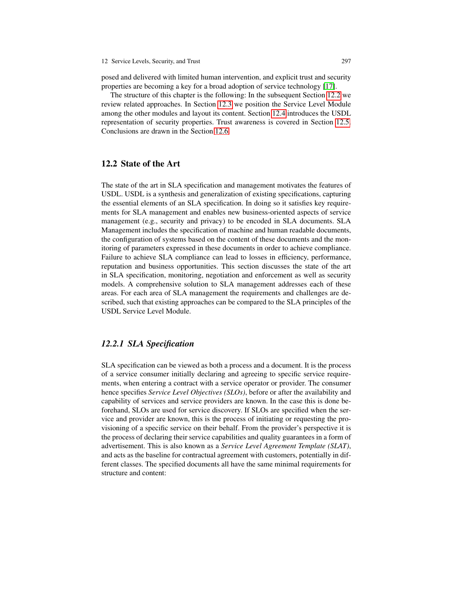12 Service Level[s, Secu](#page-10-0)rity, and Trust 297

posed and delivered with limited human intervention, [and ex](#page-19-0)plicit trust and security properties are [becom](#page-23-0)ing a key for a broad adoption of service technology [17].

The structure of this chapter is the following: In the subsequent Section 12.2 we review related approaches. In Section 12.3 we position the Service Level Module among the other modules and layout its content. Section 12.4 introduces the USDL representation of security properties. Trust awareness is covered in Section 12.5. Conclusions are drawn in the Section 12.6.

## 12.2 State of the Art

The state of the art in SLA specification and management motivates the features of USDL. USDL is a synthesis and generalization of existing specifications, capturing the essential elements of an SLA specification. In doing so it satisfies key requirements for SLA management and enables new business-oriented aspects of service management (e.g., security and privacy) to be encoded in SLA documents. SLA Management includes the specification of machine and human readable documents, the configuration of systems based on the content of these documents and the monitoring of parameters expressed in these documents in order to achieve compliance. Failure to achieve SLA compliance can lead to losses in efficiency, performance, reputation and business opportunities. This section discusses the state of the art in SLA specification, monitoring, negotiation and enforcement as well as security models. A comprehensive solution to SLA management addresses each of these areas. For each area of SLA management the requirements and challenges are described, such that existing approaches can be compared to the SLA principles of the USDL Service Level Module.

### *12.2.1 SLA Specification*

SLA specification can be viewed as both a process and a document. It is the process of a service consumer initially declaring and agreeing to specific service requirements, when entering a contract with a service operator or provider. The consumer hence specifies *Service Level Objectives (SLOs)*, before or after the availability and capability of services and service providers are known. In the case this is done beforehand, SLOs are used for service discovery. If SLOs are specified when the service and provider are known, this is the process of initiating or requesting the provisioning of a specific service on their behalf. From the provider's perspective it is the process of declaring their service capabilities and quality guarantees in a form of advertisement. This is also known as a *Service Level Agreement Template (SLAT)*, and acts as the baseline for contractual agreement with customers, potentially in different classes. The specified documents all have the same minimal requirements for structure and content: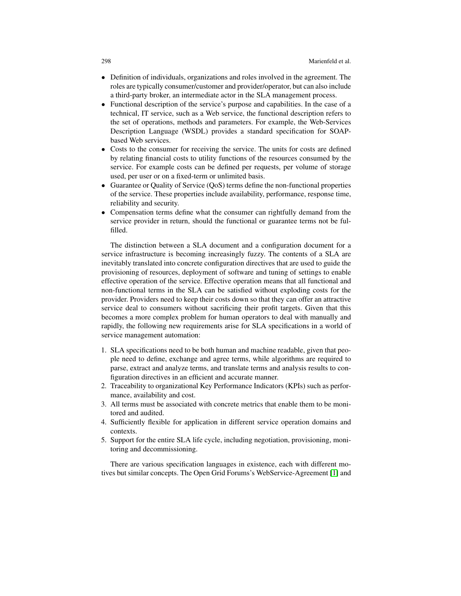- Definition of individuals, organizations and roles involved in the agreement. The roles are typically consumer/customer and provider/operator, but can also include a third-party broker, an intermediate actor in the SLA management process.
- Functional description of the service's purpose and capabilities. In the case of a technical, IT service, such as a Web service, the functional description refers to the set of operations, methods and parameters. For example, the Web-Services Description Language (WSDL) provides a standard specification for SOAPbased Web services.
- Costs to the consumer for receiving the service. The units for costs are defined by relating financial costs to utility functions of the resources consumed by the service. For example costs can be defined per requests, per volume of storage used, per user or on a fixed-term or unlimited basis.
- Guarantee or Quality of Service (QoS) terms define the non-functional properties of the service. These properties include availability, performance, response time, reliability and security.
- Compensation terms define what the consumer can rightfully demand from the service provider in return, should the functional or guarantee terms not be fulfilled.

The distinction between a SLA document and a configuration document for a service infrastructure is becoming increasingly fuzzy. The contents of a SLA are inevitably translated into concrete configuration directives that are used to guide the provisioning of resources, deployment of software and tuning of settings to enable effective operation of the service. Effective operation means that all functional and non-functional terms in the SLA can be satisfied without exploding costs for the provider. Providers need to keep their costs down so that they can offer an attractive service deal to consumers without sacrificing their profit targets. Given that this becomes a more complex problem for human operators to deal with manually and rapidly, the following new requirements arise for SLA specifications in a world of service management automation:

- 1. SLA specifications need to be both human and machine readable, given that people need to define, exchange and agree terms, while algorithms are required to parse, extract and analyze terms, and translate terms and analysis results to configuration directives in an efficient and accurate manner.
- 2. Traceability to organizational Key Performance Indicators (KPIs) such as performance, availability and cost.
- 3. All terms must be associated with concrete metrics that enable them to be monitored and audited.
- 4. Sufficiently flexible for application in different s[erv](#page-24-2)ice operation domains and contexts.
- 5. Support for the entire SLA life cycle, including negotiation, provisioning, monitoring and decommissioning.

There are various specification languages in existence, each with different motives but similar concepts. The Open Grid Forums's WebService-Agreement [1] and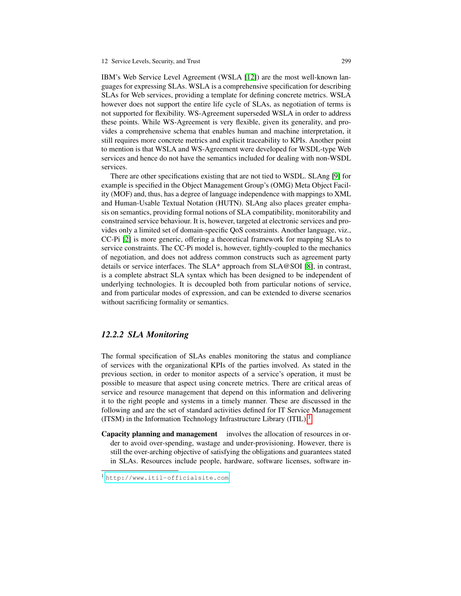#### 12 Service Levels, Security, and Trust 299

IBM's Web Service Level Agreement (WSLA [12]) are the most well-known languages for expressing SLAs. WSLA is a comprehensive specification for describing SLAs for Web services, providing a template for defining concrete metrics. WSLA however does not support the entire life cycle of SLAs, as negotiation of terms is not supported for flexibility. WS-Agreement superseded WSLA in order to address these points. While WS-Agreement is very flexible, given its generality, and provides a comprehensive schema that enables human a[nd](#page-24-3) machine interpretation, it still requires more concrete metrics and explicit traceability to KPIs. Another point to mention is that WSLA and WS-Agreement were developed for WSDL-type Web services and hence do not have the semantics included for dealing with non-WSDL services.

There are other specifications existing that are not tied to WSDL. SLAng [9] for example is specified in the Object Management Group's (OMG) Meta Object Facility (MOF) and, thus, has a degree of language independence with mappings to XML and Human-Usable Textual Notation (HUTN). SLAng also places greater emphasis on semantics, providing formal notions of SLA compatibility, monitorability and constrained service behaviour. It is, however, [tar](#page-24-4)geted at electronic services and provides only a limited set of domain-specific QoS constraints. Another language, viz., CC-Pi [2] is more generic, offering a theoretical framework for mapping SLAs to service constraints. The CC-Pi model is, however, tightly-coupled to the mechanics of negotiation, and does not address common constructs such as agreement party details or service interfaces. The SLA\* approach from SLA@SOI [8], in contrast, is a complete abstract SLA syntax which has been designed to be independent of underlying technologies. It is decoupled both from particular notions of service, and from particular modes of expression, and can be extended to diverse scenarios without sacrificing formality or semantics.

## *12.2.2 SLA Monitoring*

The formal specification of SLAs enables monitoring the status and compliance of services with the organizational KPIs of the parties involved. As stated in the previous section, in order to monitor aspect[s](#page-4-0) of a service's operation, it must be possible to measure that aspect using concrete metrics. There are critical areas of service and resource management that depend on this information and delivering it to the right people and systems in a timely manner. These are discussed in the following and are the set of standard activities defined for IT Service Management  $(ITSM)$  in the Information Technology Infrastructure Library  $(ITIL).<sup>1</sup>$ 

<span id="page-4-0"></span>[Capacity planning](http://www.itil-officialsite.com) and management involves the allocation of resources in order to avoid over-spending, wastage and under-provisioning. However, there is still the over-arching objective of satisfying the obligations and guarantees stated in SLAs. Resources include people, hardware, software licenses, software in-

<sup>1</sup> http://www.itil-officialsite.com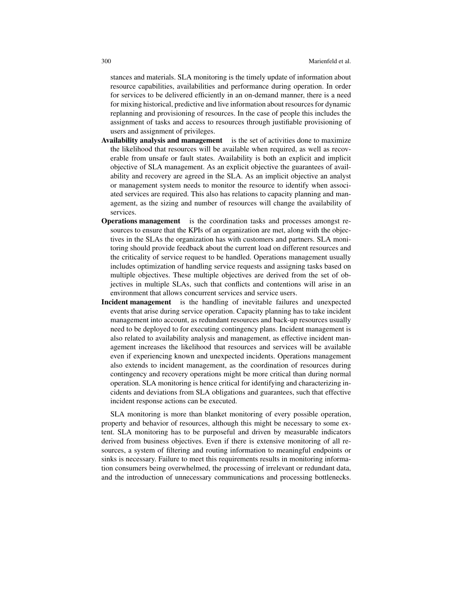stances and materials. SLA monitoring is the timely update of information about resource capabilities, availabilities and performance during operation. In order for services to be delivered efficiently in an on-demand manner, there is a need for mixing historical, predictive and live information about resources for dynamic replanning and provisioning of resources. In the case of people this includes the assignment of tasks and access to resources through justifiable provisioning of users and assignment of privileges.

- Availability analysis and management is the set of activities done to maximize the likelihood that resources will be available when required, as well as recoverable from unsafe or fault states. Availability is both an explicit and implicit objective of SLA management. As an explicit objective the guarantees of availability and recovery are agreed in the SLA. As an implicit objective an analyst or management system needs to monitor the resource to identify when associated services are required. This also has relations to capacity planning and management, as the sizing and number of resources will change the availability of services.
- Operations management is the coordination tasks and processes amongst resources to ensure that the KPIs of an organization are met, along with the objectives in the SLAs the organization has with customers and partners. SLA monitoring should provide feedback about the current load on different resources and the criticality of service request to be handled. Operations management usually includes optimization of handling service requests and assigning tasks based on multiple objectives. These multiple objectives are derived from the set of objectives in multiple SLAs, such that conflicts and contentions will arise in an environment that allows concurrent services and service users.
- Incident management is the handling of inevitable failures and unexpected events that arise during service operation. Capacity planning has to take incident management into account, as redundant resources and back-up resources usually need to be deployed to for executing contingency plans. Incident management is also related to availability analysis and management, as effective incident management increases the likelihood that resources and services will be available even if experiencing known and unexpected incidents. Operations management also extends to incident management, as the coordination of resources during contingency and recovery operations might be more critical than during normal operation. SLA monitoring is hence critical for identifying and characterizing incidents and deviations from SLA obligations and guarantees, such that effective incident response actions can be executed.

SLA monitoring is more than blanket monitoring of every possible operation, property and behavior of resources, although this might be necessary to some extent. SLA monitoring has to be purposeful and driven by measurable indicators derived from business objectives. Even if there is extensive monitoring of all resources, a system of filtering and routing information to meaningful endpoints or sinks is necessary. Failure to meet this requirements results in monitoring information consumers being overwhelmed, the processing of irrelevant or redundant data, and the introduction of unnecessary communications and processing bottlenecks.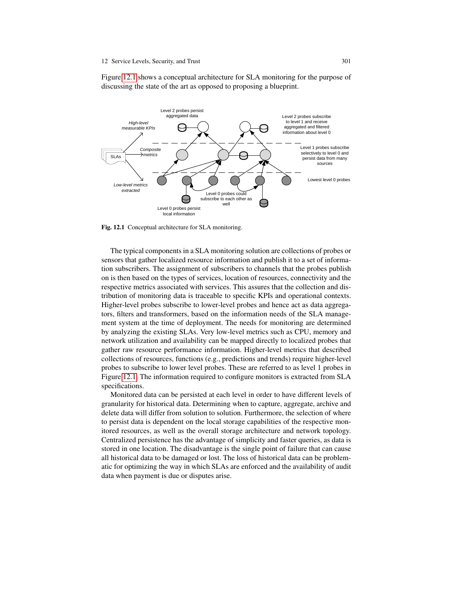#### 12 Service Levels, Security, and Trust 301



Figure 12.1 shows a conceptual architecture for SLA monitoring for the purpose of discussing the state of the art as opposed to proposing a blueprint.

Fig. 12.1 Conceptual architecture for SLA monitoring.

The typical components in a SLA monitoring solution are collections of probes or sensors that gather localized resource information and publish it to a set of information subscribers. The assignment of subscribers to channels that the probes publish on is then based on the types of services, location of resources, connectivity and the respective metrics associated with services. This assures that the collection and distribution of monitoring data is traceable to specific KPIs and operational contexts. Higher-level probes subscribe to lower-level probes and hence act as data aggregators, filters and transformers, based on the information needs of the SLA management system at the time of deployment. The needs for monitoring are determined by analyzing the existing SLAs. Very low-level metrics such as CPU, memory and network utilization and availability can be mapped directly to localized probes that gather raw resource performance information. Higher-level metrics that described collections of resources, functions (e.g., predictions and trends) require higher-level probes to subscribe to lower level probes. These are referred to as level 1 probes in Figure 12.1. The information required to configure monitors is extracted from SLA specifications.

Monitored data can be persisted at each level in order to have different levels of granularity for historical data. Determining when to capture, aggregate, archive and delete data will differ from solution to solution. Furthermore, the selection of where to persist data is dependent on the local storage capabilities of the respective monitored resources, as well as the overall storage architecture and network topology. Centralized persistence has the advantage of simplicity and faster queries, as data is stored in one location. The disadvantage is the single point of failure that can cause all historical data to be damaged or lost. The loss of historical data can be problematic for optimizing the way in which SLAs are enforced and the availability of audit data when payment is due or disputes arise.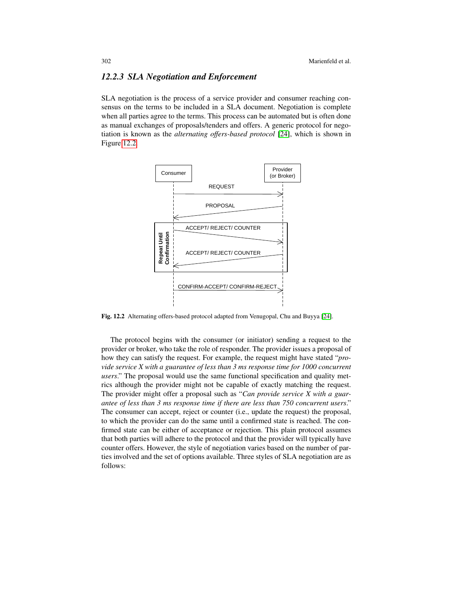#### *12.2.3 SLA Negotiation and Enforcement*

SLA negotiation is the process of a service provider and consumer reaching consensus on the terms to be included in a SLA document. Negotiation is complete when all parties agree to the terms. This process can be automated but is often done as manual exchanges of proposals/tenders and offers. A generic protocol for negotiation is known as the *alternating offers-based protocol* [24], which is shown in Figure 12.2.



Fig. 12.2 Alternating offers-based protocol adapted from Venugopal, Chu and Buyya [24].

The protocol begins with the consumer (or initiator) sending a request to the provider or broker, who take the role of responder. The provider issues a proposal of how they can satisfy the request. For example, the request might have stated "*provide service X with a guarantee of less than 3 ms response time for 1000 concurrent users*." The proposal would use the same functional specification and quality metrics although the provider might not be capable of exactly matching the request. The provider might offer a proposal such as "*Can provide service X with a guarantee of less than 3 ms response time if there are less than 750 concurrent users*." The consumer can accept, reject or counter (i.e., update the request) the proposal, to which the provider can do the same until a confirmed state is reached. The confirmed state can be either of acceptance or rejection. This plain protocol assumes that both parties will adhere to the protocol and that the provider will typically have counter offers. However, the style of negotiation varies based on the number of parties involved and the set of options available. Three styles of SLA negotiation are as follows: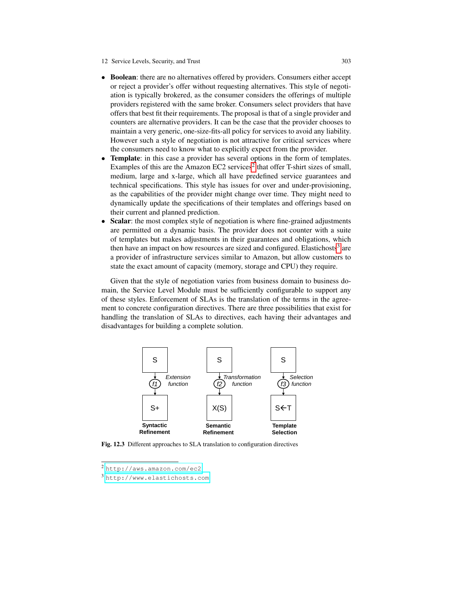- 12 Service Levels, Security, and Trust 303
- Boolean: there are no alternatives offered by providers. Consumers either accept or reject a provider's offer without requesting alternatives. This style of negotiation is typically brokered, as the consumer considers the offerings of multiple providers registered with the same broker. Consumers select providers that have offers that best fit their requirements. The proposal is that of a single provider and counters are alternative [pr](#page-8-0)oviders. It can be the case that the provider chooses to maintain a very generic, one-size-fits-all policy for services to avoid any liability. However such a style of negotiation is not attractive for critical services where the consumers need to know what to explicitly expect from the provider.
- **Template**: in this case a provider has several options in the form of templates. Examples of this are the Amazon EC2 services<sup>2</sup> that offer T-shirt sizes of small, medium, large and x-large, which all have predefined service guarantees and technical specifications. This style has issues for over and under-provisioning, as the capabilities of the provider might change over time. They might need to dynamically update the specifications of their temp[lat](#page-8-1)es and offerings based on their current and planned prediction.
- Scalar: the most complex style of negotiation is where fine-grained adjustments are permitted on a dynamic basis. The provider does not counter with a suite of templates but makes adjustments in their guarantees and obligations, which then have an impact on how resources are sized and configured. Elastichosts $3$  are a provider of infrastructure services similar to Amazon, but allow customers to state the exact amount of capacity (memory, storage and CPU) they require.

Given that the style of negotiation varies from business domain to business domain, the Service Level Module must be sufficiently configurable to support any of these styles. Enforcement of SLAs is the translation of the terms in the agreement to concrete configuration directives. There are three possibilities that exist for handling the translation of SLAs to directives, each having their advantages and disadvantages for building a complete solution.



<span id="page-8-2"></span><span id="page-8-1"></span><span id="page-8-0"></span>Fig. 12.3 Different approaches to SLA translation to configuration directives

<sup>2</sup> http://aws.amazon.com/ec2

<sup>3</sup> http://www.elastichosts.com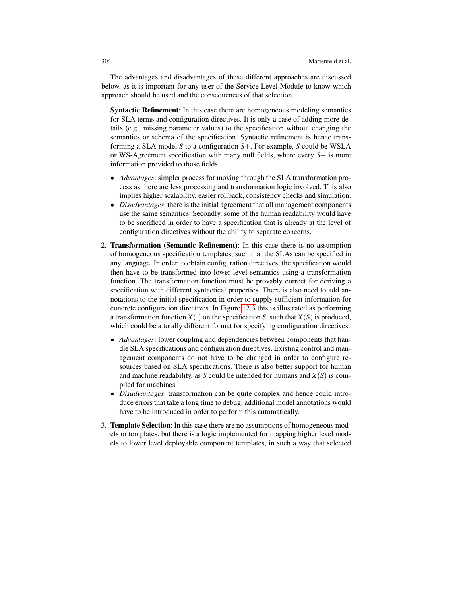The advantages and disadvantages of these different approaches are discussed below, as it is important for any user of the Service Level Module to know which approach should be used and the consequences of that selection.

- 1. Syntactic Refinement: In this case there are homogeneous modeling semantics for SLA terms and configuration directives. It is only a case of adding more details (e.g., missing parameter values) to the specification without changing the semantics or schema of the specification. Syntactic refinement is hence transforming a SLA model *S* to a configuration *S*+. For example, *S* could be WSLA or WS-Agreement specification with many null fields, where every *S*+ is more information provided to those fields.
	- *Advantages*: simpler process for moving through the SLA transformation process as there are less processing and transformation logic involved. This also implies higher scalability, easier rollback, consistency checks and simulation.
	- *Disadvantages*: there is the initial agreement that all management components use the same semantics. Secondly, some of the human readability would have to be sacrificed in order to have a specification that is already at the level of configuration directives without the ability to separate concerns.
- 2. Transformation (Semantic Refinement): In this case there is no assumption of homogeneous specification templates, such that the SLAs can be specified in any language. In ord[er to](#page-8-2) obtain configuration directives, the specification would then have to be transformed into lower level semantics using a transformation function. The transformation function must be provably correct for deriving a specification with different syntactical properties. There is also need to add annotations to the initial specification in order to supply sufficient information for concrete configuration directives. In Figure 12.3 this is illustrated as performing a transformation function  $X(.)$  on the specification *S*, such that  $X(S)$  is produced, which could be a totally different format for specifying configuration directives.
	- *Advantages*: lower coupling and dependencies between components that handle SLA specifications and configuration directives. Existing control and management components do not have to be changed in order to configure resources based on SLA specifications. There is also better support for human and machine readability, as *S* could be intended for humans and  $X(S)$  is compiled for machines.
	- *Disadvantages*: transformation can be quite complex and hence could introduce errors that take a long time to debug; additional model annotations would have to be introduced in order to perform this automatically.
- 3. Template Selection: In this case there are no assumptions of homogeneous models or templates, but there is a logic implemented for mapping higher level models to lower level deployable component templates, in such a way that selected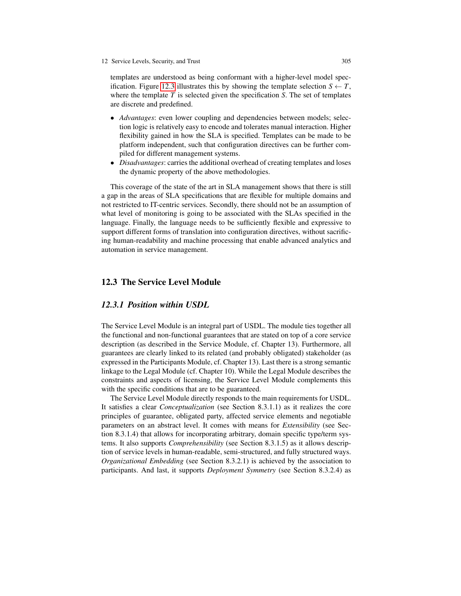templates are understood as being conformant with a higher-level model specification. Figure 12.3 illustrates this by showing the template selection  $S \leftarrow T$ , where the template  $T$  is selected given the specification  $S$ . The set of templates are discrete and predefined.

- *Advantages*: even lower coupling and dependencies between models; selection logic is relatively easy to encode and tolerates manual interaction. Higher flexibility gained in how the SLA is specified. Templates can be made to be platform independent, such that configuration directives can be further compiled for different management systems.
- *Disadvantages*: carries the additional overhead of creating templates and loses the dynamic property of the above methodologies.

<span id="page-10-0"></span>This coverage of the state of the art in SLA management shows that there is still a gap in the areas of SLA specifications that are flexible for multiple domains and not restricted to IT-centric services. Secondly, there should not be an assumption of what level of monitoring is going to be associated with the SLAs specified in the language. Finally, the language needs to be sufficiently flexible and expressive to support different forms of translation into configuration directives, without sacrificing human-readability and machine processing that enable advanced analytics and automation in service management.

#### 12.3 The Service Level Module

#### *12.3.1 Position within USDL*

The Service Level Module is an integral part of USDL. The module ties together all the functional and non-functional guarantees that are stated on top of a core service description (as described in the Service Module, cf. Chapter 13). Furthermore, all guarantees are clearly linked to its related (and probably obligated) stakeholder (as expressed in the Participants Module, cf. Chapter 13). Last there is a strong semantic linkage to the Legal Module (cf. Chapter 10). While the Legal Module describes the constraints and aspects of licensing, the Service Level Module complements this with the specific conditions that are to be guaranteed.

The Service Level Module directly responds to the main requirements for USDL. It satisfies a clear *Conceptualization* (see Section 8.3.1.1) as it realizes the core principles of guarantee, obligated party, affected service elements and negotiable parameters on an abstract level. It comes with means for *Extensibility* (see Section 8.3.1.4) that allows for incorporating arbitrary, domain specific type/term systems. It also supports *Comprehensibility* (see Section 8.3.1.5) as it allows description of service levels in human-readable, semi-structured, and fully structured ways. *Organizational Embedding* (see Section 8.3.2.1) is achieved by the association to participants. And last, it supports *Deployment Symmetry* (see Section 8.3.2.4) as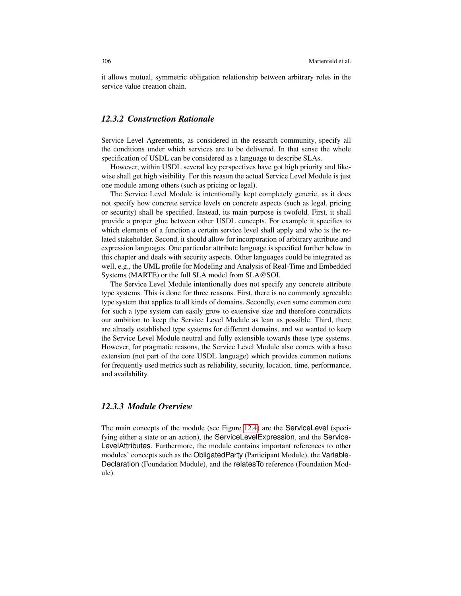it allows mutual, symmetric obligation relationship between arbitrary roles in the service value creation chain.

#### *12.3.2 Construction Rationale*

Service Level Agreements, as considered in the research community, specify all the conditions under which services are to be delivered. In that sense the whole specification of USDL can be considered as a language to describe SLAs.

However, within USDL several key perspectives have got high priority and likewise shall get high visibility. For this reason the actual Service Level Module is just one module among others (such as pricing or legal).

The Service Level Module is intentionally kept completely generic, as it does not specify how concrete service levels on concrete aspects (such as legal, pricing or security) shall be specified. Instead, its main purpose is twofold. First, it shall provide a proper glue between other USDL concepts. For example it specifies to which elements of a function a certain service level shall apply and who is the related stakeholder. Second, it should allow for incorporation of arbitrary attribute and expression languages. One particular attribute language is specified further below in this chapter and deals with security aspects. Other languages could be integrated as well, e.g., the UML profile for Modeling and Analysis of Real-Time and Embedded Systems (MARTE) or the full SLA model from SLA@SOI.

The Service Level Module intentionally does not specify any concrete attribute type systems. This is done for three reasons. First, there is no commonly agreeable type system that applies to all kinds of domains. Secondly, even some common core for such a type system can easily grow to extensive size and therefore contradicts our ambition to keep the Service Level Module as lean as possible. Third, there are already established type systems for different domains, and we wanted to keep the Service Level Module neutral and fully extensible towards these type systems. However, for pragmatic reasons, the Service Level Module also comes with a base extension (not part of the core USDL language) which provides common notions for frequently used metrics such as reliability, security, location, time, performance, and availability.

#### *12.3.3 Module Overview*

The main concepts of the module (see Figure 12.4) are the ServiceLevel (specifying either a state or an action), the ServiceLevelExpression, and the Service-LevelAttributes. Furthermore, the module contains important references to other modules' concepts such as the ObligatedParty (Participant Module), the Variable-Declaration (Foundation Module), and the relatesTo reference (Foundation Module).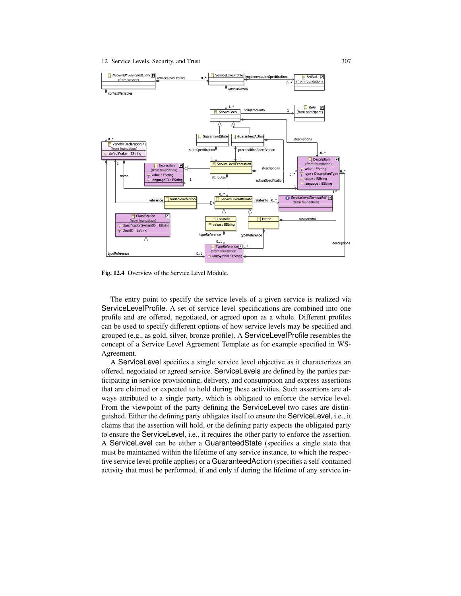

Fig. 12.4 Overview of the Service Level Module.

The entry point to specify the service levels of a given service is realized via ServiceLevelProfile. A set of service level specifications are combined into one profile and are offered, negotiated, or agreed upon as a whole. Different profiles can be used to specify different options of how service levels may be specified and grouped (e.g., as gold, silver, bronze profile). A ServiceLevelProfile resembles the concept of a Service Level Agreement Template as for example specified in WS-Agreement.

A ServiceLevel specifies a single service level objective as it characterizes an offered, negotiated or agreed service. ServiceLevels are defined by the parties participating in service provisioning, delivery, and consumption and express assertions that are claimed or expected to hold during these activities. Such assertions are always attributed to a single party, which is obligated to enforce the service level. From the viewpoint of the party defining the ServiceLevel two cases are distinguished. Either the defining party obligates itself to ensure the ServiceLevel, i.e., it claims that the assertion will hold, or the defining party expects the obligated party to ensure the ServiceLevel, i.e., it requires the other party to enforce the assertion. A ServiceLevel can be either a GuaranteedState (specifies a single state that must be maintained within the lifetime of any service instance, to which the respective service level profile applies) or a GuaranteedAction (specifies a self-contained activity that must be performed, if and only if during the lifetime of any service in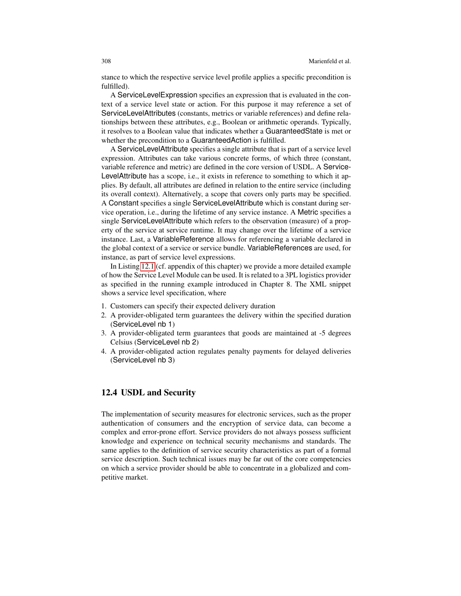stance to which the respective service level profile applies a specific precondition is fulfilled).

A ServiceLevelExpression specifies an expression that is evaluated in the context of a service level state or action. For this purpose it may reference a set of ServiceLevelAttributes (constants, metrics or variable references) and define relationships between these attributes, e.g., Boolean or arithmetic operands. Typically, it resolves to a Boolean value that indicates whether a GuaranteedState is met or whether the precondition to a GuaranteedAction is fulfilled.

A ServiceLevelAttribute specifies a single attribute that is part of a service level expression. Attributes can take various concrete forms, of which three (constant, variable reference and metric) are defined in the core version of USDL. A Service-LevelAttribute has a scope, i.e., it exists in reference to something to which it applies. By default, all attributes are defined in relation to the entire service (including its overall context). Alternatively, a scope that covers only parts may be specified. A Constant specifies a single ServiceLevelAttribute which is constant during service operation, i.e., during the lifetime of any service instance. A Metric specifies a single ServiceLevelAttribute which refers to the observation (measure) of a property of the service at service runtime. It may change over the lifetime of a service instance. Last, a VariableReference allows for referencing a variable declared in the global context of a service or service bundle. VariableReferences are used, for instance, as part of service level expressions.

In Listing 12.1 (cf. appendix of this chapter) we provide a more detailed example of how the Service Level Module can be used. It is related to a 3PL logistics provider as specified in the running example introduced in Chapter 8. The XML snippet shows a service level specification, where

- 1. Customers can specify their expected delivery duration
- 2. A provider-obligated term guarantees the delivery within the specified duration (ServiceLevel nb 1)
- <span id="page-13-0"></span>3. A provider-obligated term guarantees that goods are maintained at -5 degrees Celsius (ServiceLevel nb 2)
- 4. A provider-obligated action regulates penalty payments for delayed deliveries (ServiceLevel nb 3)

## 12.4 USDL and Security

The implementation of security measures for electronic services, such as the proper authentication of consumers and the encryption of service data, can become a complex and error-prone effort. Service providers do not always possess sufficient knowledge and experience on technical security mechanisms and standards. The same applies to the definition of service security characteristics as part of a formal service description. Such technical issues may be far out of the core competencies on which a service provider should be able to concentrate in a globalized and competitive market.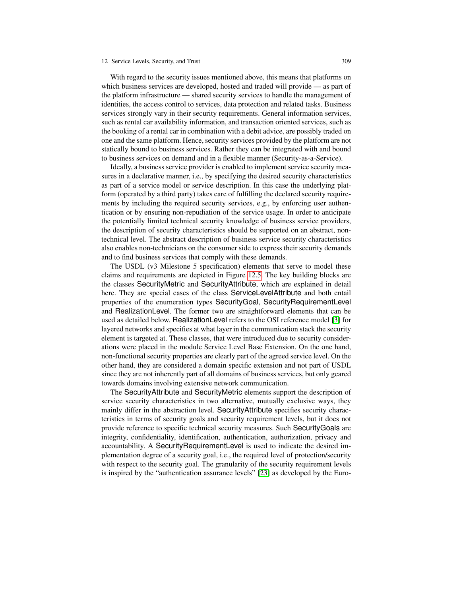#### 12 Service Levels, Security, and Trust 309

With regard to the security issues mentioned above, this means that platforms on which business services are developed, hosted and traded will provide — as part of the platform infrastructure — shared security services to handle the management of identities, the access control to services, data protection and related tasks. Business services strongly vary in their security requirements. General information services, such as rental car availability information, and transaction oriented services, such as the booking of a rental car in combination with a debit advice, are possibly traded on one and the same platform. Hence, security services provided by the platform are not statically bound to business services. Rather they can be integrated with and bound to business services on demand and in a flexible manner (Security-as-a-Service).

Ideally, a business service provider is enabled to implement service security measures in a declarative manner, i.e., by specifying the desired security characteristics as part of a service model or service description. In this case the underlying platform (operated by a third party) takes care of fulfilling the declared security requirements by including the required security services, e.g., by enforcing user authentication or by ensuring non-repudiation of the service usage. In order to anticipate the potentially limited technical security knowledge of business service providers, the description of securit[y cha](#page-15-0)racteristics should be supported on an abstract, nontechnical level. The abstract description of business service security characteristics also enables non-technicians on the consumer side to express their security demands and to find business services that comply with these demands.

The USDL (v3 Milestone 5 specification) elements that serve to model these claims and requirements are depicted in Figure 12.5. [T](#page-24-5)he key building blocks are the classes SecurityMetric and SecurityAttribute, which are explained in detail here. They are special cases of the class ServiceLevelAttribute and both entail properties of the enumeration types SecurityGoal, SecurityRequirementLevel and RealizationLevel. The former two are straightforward elements that can be used as detailed below. RealizationLevel refers to the OSI reference model [3] for layered networks and specifies at what layer in the communication stack the security element is targeted at. These classes, that were introduced due to security considerations were placed in the module Service Level Base Extension. On the one hand, non-functional security properties are clearly part of the agreed service level. On the other hand, they are considered a domain specific extension and not part of USDL since they are not inherently part of all domains of business services, but only geared towards domains involving extensive network communication.

The SecurityAttribute and SecurityMetric elements support the description of service security characteristics in two alternative, mutually exclusive ways, they mainly differ in the abstraction level. SecurityAttribute specifies security characteristics in terms of security goals and security requirement levels, but it does not provide reference to specific [tech](#page-25-0)nical security measures. Such SecurityGoals are integrity, confidentiality, identification, authentication, authorization, privacy and accountability. A SecurityRequirementLevel is used to indicate the desired implementation degree of a security goal, i.e., the required level of protection/security with respect to the security goal. The granularity of the security requirement levels is inspired by the "authentication assurance levels" [23] as developed by the Euro-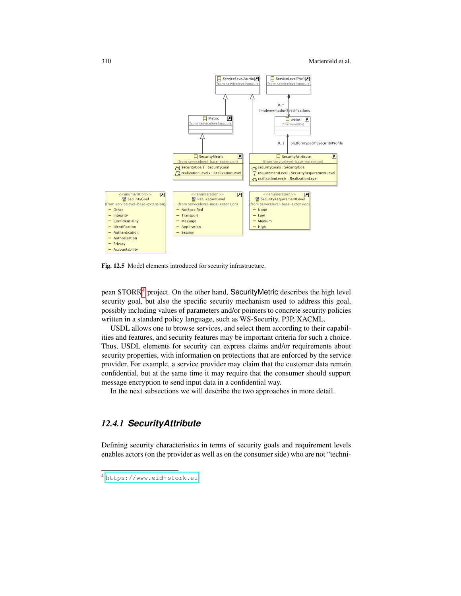

<span id="page-15-0"></span>Fig. 12.5 Model elements introduced for security infrastructure.

pean STORK<sup>4</sup> project. On the other hand, SecurityMetric describes the high level security goal, but also the specific security mechanism used to address this goal, possibly including values of parameters and/or pointers to concrete security policies written in a standard policy language, such as WS-Security, P3P, XACML.

USDL allows one to browse services, and select them according to their capabilities and features, and security features may be important criteria for such a choice. Thus, USDL elements for security can express claims and/or requirements about security properties, with information on protections that are enforced by the service provider. For example, a service provider may claim that the customer data remain confidential, but at the same time it may require that the consumer should support message encryption to send input data in a confidential way.

In the next subsections we will describe the two approaches in more detail.

# *[12.4.1](https://www.eid-stork.eu) SecurityAttribute*

Defining security characteristics in terms of security goals and requirement levels enables actors (on the provider as well as on the consumer side) who are not "techni-

<sup>4</sup> https://www.eid-stork.eu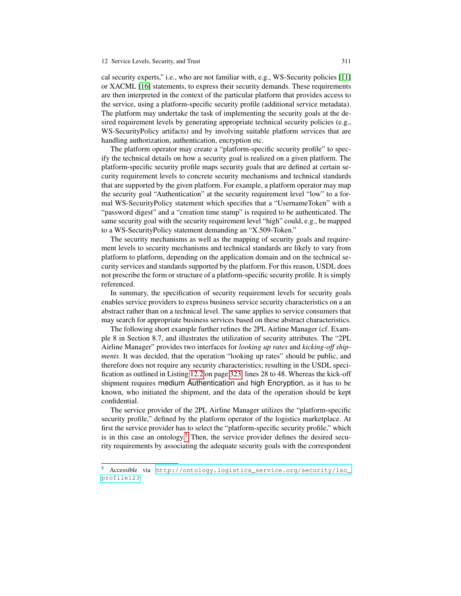#### 12 Service Levels, Security, and Trust 311

cal security experts," i.e., who are not familiar with, e.g., WS-Security policies [11] or XACML [16] statements, to express their security demands. These requirements are then interpreted in the context of the particular platform that provides access to the service, using a platform-specific security profile (additional service metadata). The platform may undertake the task of implementing the security goals at the desired requirement levels by generating appropriate technical security policies (e.g., WS-SecurityPolicy artifacts) and by involving suitable platform services that are handling authorization, authentication, encryption etc.

The platform operator may create a "platform-specific security profile" to specify the technical details on how a security goal is realized on a given platform. The platform-specific security profile maps security goals that are defined at certain security requirement levels to concrete security mechanisms and technical standards that are supported by the given platform. For example, a platform operator may map the security goal "Authentication" at the security requirement level "low" to a formal WS-SecurityPolicy statement which specifies that a "UsernameToken" with a "password digest" and a "creation time stamp" is required to be authenticated. The same security goal with the security requirement level "high" could, e.g., be mapped to a WS-SecurityPolicy statement demanding an "X.509-Token."

The security mechanisms as well as the mapping of security goals and requirement levels to security mechanisms and technical standards are likely to vary from platform to platform, depending on the application domain and on the technical security services and standards supported by the platform. For this reason, USDL does not prescribe the form or structure of a platform-specific security profile. It is simply referenced.

In summary, the specification of security requirement levels for security goals enables service providers to express business service security characteristics on a an abstract rather than on a technical level. The same applies to service consumers that may search for appropriate business services based on these abstract characteristics.

Th[e follo](#page-28-0)wing s[hort e](#page-28-0)xample further refines the 2PL Airline Manager (cf. Example 8 in Section 8.7, and illustrates the utilization of security attributes. The "2PL Airline Manager" provides two interfaces for *looking up rates* and *kicking-off shipments*. It was decided, that the operation "looking up rates" should be public, and therefore does not require any security characteristics; resulting in the USDL specification as outlined in Listing 12.2 on page 323: lines 28 to 48. Whereas the kick-off shipment requires medium Authentication and high Encryption, as it has to be kno[wn](#page-16-0), who initiated the shipment, and the data of the operation should be kept confidential.

<span id="page-16-0"></span>The service provider of the 2PL Airline Manager utilizes the "platform-specific [security profile," defined by the platform operator of the log](http://ontology.logistics_service.org/security/lso_profile123)istics marketplace. At first the service provider has to select the "platform-specific security profile," which is in this case an ontology.<sup>5</sup> Then, the service provider defines the desired security requirements by associating the adequate security goals with the correspondent

<sup>5</sup> Accessible via http://ontology.logistics\_service.org/security/lso\_ profile123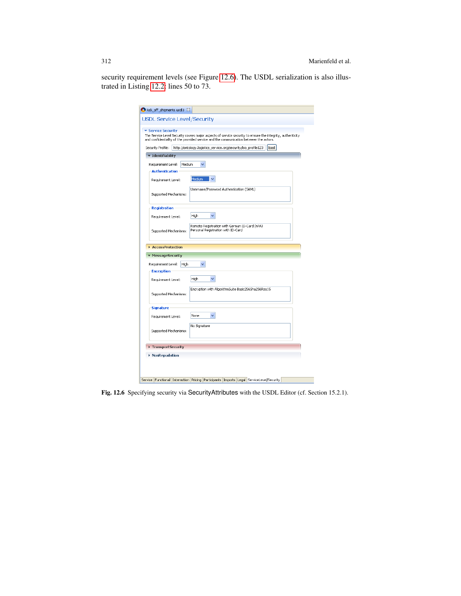security requirement levels (see Figure 12.6). The USDL serialization is also illustrated in Listing 12.2: lines 50 to 73.

| <b>Exervice Security</b>                                                                                    | The Service Level Security covers major aspects of service security to ensure the integrity, authenticity |
|-------------------------------------------------------------------------------------------------------------|-----------------------------------------------------------------------------------------------------------|
|                                                                                                             | and confidentiality of the provided service and the communication between the actors.                     |
| Security Profile:                                                                                           | http://ontology.logistics_service.org/security/lso_profile123<br>load                                     |
| $\blacktriangleright$ Identifiability                                                                       |                                                                                                           |
| Requirement Level:<br>Medium                                                                                | v                                                                                                         |
| <b>Authentication</b>                                                                                       |                                                                                                           |
| Requirement Level:                                                                                          | Medium                                                                                                    |
| Supported Mechanisms:                                                                                       | Username/Password Authentication (SAML)                                                                   |
| <b>Registration</b>                                                                                         |                                                                                                           |
| Requirement Level:                                                                                          | High                                                                                                      |
| Supported Mechanisms:                                                                                       | Remote Registration with German ID-Card (nPA)<br>Personal Registration with ID-Card                       |
|                                                                                                             |                                                                                                           |
|                                                                                                             |                                                                                                           |
|                                                                                                             |                                                                                                           |
| High                                                                                                        | v                                                                                                         |
|                                                                                                             |                                                                                                           |
| <b>AccessProtection</b><br>MessageSecurity<br>Requirement Level:<br><b>Encryption</b><br>Requirement Level: | High<br>v                                                                                                 |
|                                                                                                             | Encryption with AlgorithmSuite Basic256Sha256Rsa15                                                        |
|                                                                                                             |                                                                                                           |
| Supported Mechanisms:<br><b>Signature</b><br>Requirement Level:                                             | None                                                                                                      |
| Supported Mechanisms:                                                                                       | No Signature                                                                                              |
| <b>TransportSecurity</b>                                                                                    |                                                                                                           |

Fig. 12.6 Specifying security via SecurityAttributes with the USDL Editor (cf. Section 15.2.1).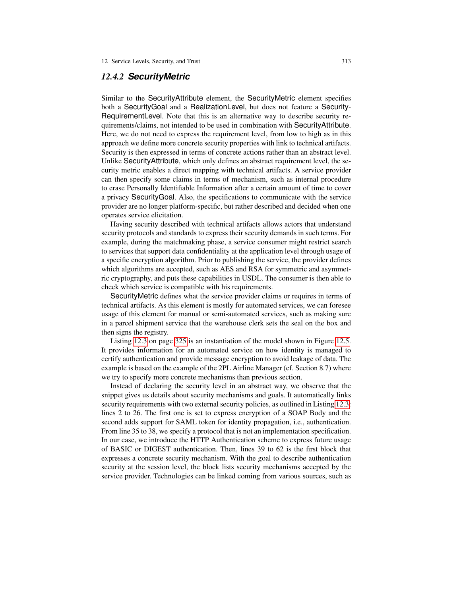### *12.4.2 SecurityMetric*

Similar to the SecurityAttribute element, the SecurityMetric element specifies both a SecurityGoal and a RealizationLevel, but does not feature a Security-RequirementLevel. Note that this is an alternative way to describe security requirements/claims, not intended to be used in combination with SecurityAttribute. Here, we do not need to express the requirement level, from low to high as in this approach we define more concrete security properties with link to technical artifacts. Security is then expressed in terms of concrete actions rather than an abstract level. Unlike SecurityAttribute, which only defines an abstract requirement level, the security metric enables a direct mapping with technical artifacts. A service provider can then specify some claims in terms of mechanism, such as internal procedure to erase Personally Identifiable Information after a certain amount of time to cover a privacy SecurityGoal. Also, the specifications to communicate with the service provider are no longer platform-specific, but rather described and decided when one operates service elicitation.

Having security described with technical artifacts allows actors that understand security protocols and standards to express their security demands in such terms. For example, during the matchmaking phase, a service consumer might restrict search to services that support data confidentiality at the application level through usage of a specific encryption algorithm. Prior to publishing the service, the provider defines which algorithms are accepted, such as AES and RSA for symmetric and asymmetric cryptography, and puts these capabilities in USDL. The consumer is then able to check which service is compatible with his requirements.

[Se](#page-30-0)curityMetric defines what the service provider c[laims](#page-15-0) or requires in terms of technical artifacts. As this element is mostly for automated services, we can foresee usage of this element for manual or semi-automated services, such as making sure in a parcel shipment service that the warehouse clerk sets the seal on the box and then signs the registry.

Listing 12.3 on page 325 is an instantiation of the model shown in Figure 12.5. It provides information for an automated service on how identity is managed to certify authentication and provide message encryption [to avo](#page-30-0)id leakage of data. The example is based on the example of the 2PL Airline Manager (cf. Section 8.7) where we try to specify more concrete mechanisms than previous section.

Instead of declaring the security level in an abstract way, we observe that the snippet gives us details about security mechanisms and goals. It automatically links security requirements with two external security policies, as outlined in Listing 12.3: lines 2 to 26. The first one is set to express encryption of a SOAP Body and the second adds support for SAML token for identity propagation, i.e., authentication. From line 35 to 38, we specify a protocol that is not an implementation specification. In our case, we introduce the HTTP Authentication scheme to express future usage of BASIC or DIGEST authentication. Then, lines 39 to 62 is the first block that expresses a concrete security mechanism. With the goal to describe authentication security at the session level, the block lists security mechanisms accepted by the service provider. Technologies can be linked coming from various sources, such as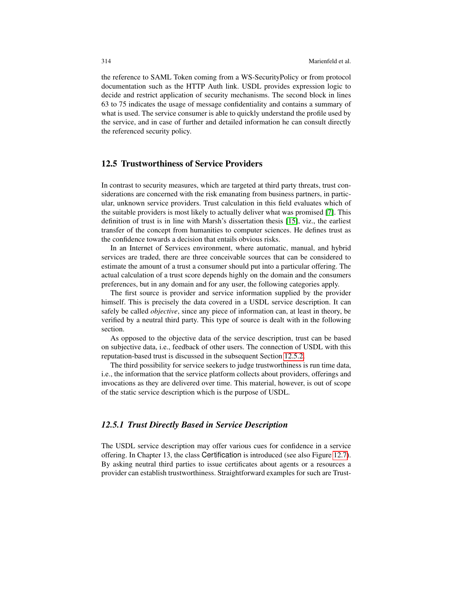<span id="page-19-0"></span>the reference to SAML Token coming from a WS-SecurityPolicy or from protocol documentation such as the HTTP Auth link. USDL provides expression logic to decide and restrict application of security mechanisms. The second block in lines 63 to 75 indicates the usage of message confidentiality and contains a summary of what is used. The service consumer is able to quickly understand the profile used by the service, and in case of further and detailed information he can consult directly the referenced security policy.

## 12.5 Trustworthiness of Service Provide[rs](#page-24-0)

In contrast to security measures, which are targeted at third party threats, trust considerations are concerned with the risk emanating from business partners, in particular, unknown service providers. Trust calculation in this field evaluates which of the suitable providers is most likely to actually deliver what was promised [7]. This definition of trust is in line with Marsh's dissertation thesis [15], viz., the earliest transfer of the concept from humanities to computer sciences. He defines trust as the confidence towards a decision that entails obvious risks.

In an Internet of Services environment, where automatic, manual, and hybrid services are traded, there are three conceivable sources that can be considered to estimate the amount of a trust a consumer should put into a particular offering. The actual calculation of a trust score depends highly on the domain and the consumers preferences, but in any domain and for any user, the following categories apply.

The first source is provider and service information supplied by the provider himself. This is precisely the data covered in a USDL service description. It can safely be called *objective*, since any [piece of](#page-21-0) information can, at least in theory, be verified by a neutral third party. This type of source is dealt with in the following section.

As opposed to the objective data of the service description, trust can be based on subjective data, i.e., feedback of other users. The connection of USDL with this reputation-based trust is discussed in the subsequent Section 12.5.2.

The third possibility for service seekers to judge trustworthiness is run time data, i.e., the information that the service platform collects about providers, offerings and invocations as they are delivered over time. This material, however, is out of scope of the static service description which is the purpose of USDL.

#### *12.5.1 Trust Directly Based in Service Description*

The USDL service description may offer various cues for confidence in a service offering. In Chapter 13, the class Certification is introduced (see also Figure 12.7). By asking neutral third parties to issue certificates about agents or a resources a provider can establish trustworthiness. Straightforward examples for such are Trust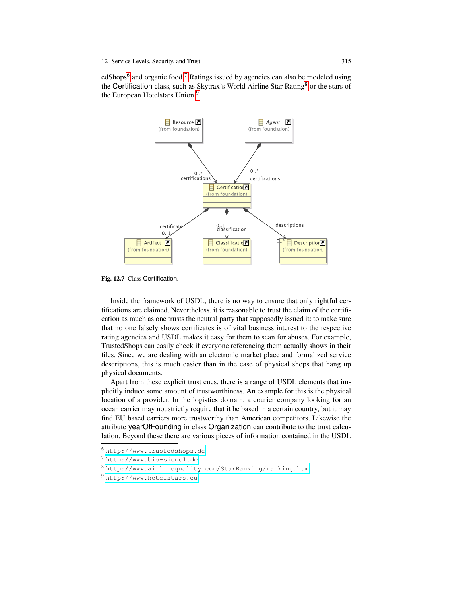12 Service Levels, Security, and Trust 315

edShops<sup>6</sup> and organic food.<sup>7</sup> Ratings issued by agencies can also be modeled using the Certification class, such as Skytrax's World Airline Star Rating<sup>8</sup> or the stars of the European Hotelstars Union.<sup>9</sup>



Fig. 12.7 Class Certification.

Inside the framework of USDL, there is no way to ensure that only rightful certifications are claimed. Nevertheless, it is reasonable to trust the claim of the certification as much as one trusts the neutral party that supposedly issued it: to make sure that no one falsely shows certificates is of vital business interest to the respective rating agencies and USDL makes it easy for them to scan for abuses. For example, TrustedShops can easily check if everyone referencing them actually shows in their files. Since we are dealing with an electronic market place and formalized service descriptions, this is much easier than in the case of physical shops that hang up physical documents.

Apart from these explicit trust cues, there is a range of USDL elements that implicitly induce some amount of trustworthiness. An example for this is the physical [location of](http://www.trustedshops.de) a provider. In the logistics domain, a courier company looking for an [ocean car](http://www.bio-siegel.de)rier may not strictly require that it be based in a certain country, but it may [find EU based carriers more trustworthy than](http://www.airlinequality.com/StarRanking/ranking.htm) American competitors. Likewise the [attribute](http://www.hotelstars.eu) yearOfFounding in class Organization can contribute to the trust calculation. Beyond these there are various pieces of information contained in the USDL

<sup>6</sup> http://www.trustedshops.de

<sup>7</sup> http://www.bio-siegel.de

<sup>8</sup> http://www.airlinequality.com/StarRanking/ranking.htm

<sup>9</sup> http://www.hotelstars.eu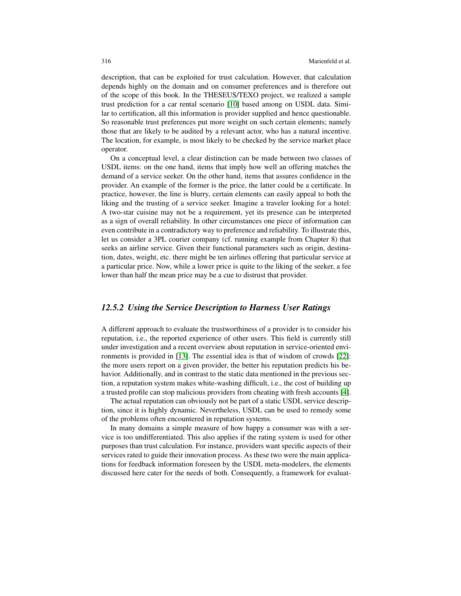description, that can be exploited for trust calculation. However, that calculation depends highly on the domain and on consumer preferences and is therefore out of the scope of this book. In the THESEUS/TEXO project, we realized a sample trust prediction for a car rental scenario [10] based among on USDL data. Similar to certification, all this information is provider supplied and hence questionable. So reasonable trust preferences put more weight on such certain elements; namely those that are likely to be audited by a relevant actor, who has a natural incentive. The location, for example, is most likely to be checked by the service market place operator.

On a conceptual level, a clear distinction can be made between two classes of USDL items: on the one hand, items that imply how well an offering matches the demand of a service seeker. On the other hand, items that assures confidence in the provider. An example of the former is the price, the latter could be a certificate. In practice, however, the line is blurry, certain elements can easily appeal to both the liking and the trusting of a service seeker. Imagine a traveler looking for a hotel: A two-star cuisine may not be a requirement, yet its presence can be interpreted as a sign of overall reliability. In other circumstances one piece of information can even contribute in a contradictory way to preference and reliability. To illustrate this, let us consider a 3PL courier company (cf. running example from Chapter 8) that seeks an airline service. Given their functional parameters such as origin, destination, dates, weight, etc. there might be ten airlines offering that particular service at a particular price. Now, while a lower price is quite to the liking of the seeker, a fee lower than half the mean price may be a cue to distrust that provider.

#### <span id="page-21-0"></span>*1[2.5.](#page-25-1)2 Using the Service Description to Har[ness](#page-25-2) User Ratings*

A different approach to evaluate the trustworthiness of a provider is to consider his reputation, i.e., the reported experience of other users. This field is currently still under investigation and a recent overview about reputatio[n i](#page-24-7)n service-oriented environments is provided in [13]. The essential idea is that of wisdom of crowds [22]: the more users report on a given provider, the better his reputation predicts his behavior. Additionally, and in contrast to the static data mentioned in the previous section, a reputation system makes white-washing difficult, i.e., the cost of building up a trusted profile can stop malicious providers from cheating with fresh accounts [4].

The actual reputation can obviously not be part of a static USDL service description, since it is highly dynamic. Nevertheless, USDL can be used to remedy some of the problems often encountered in reputation systems.

In many domains a simple measure of how happy a consumer was with a service is too undifferentiated. This also applies if the rating system is used for other purposes than trust calculation. For instance, providers want specific aspects of their services rated to guide their innovation process. As these two were the main applications for feedback information foreseen by the USDL meta-modelers, the elements discussed here cater for the needs of both. Consequently, a framework for evaluat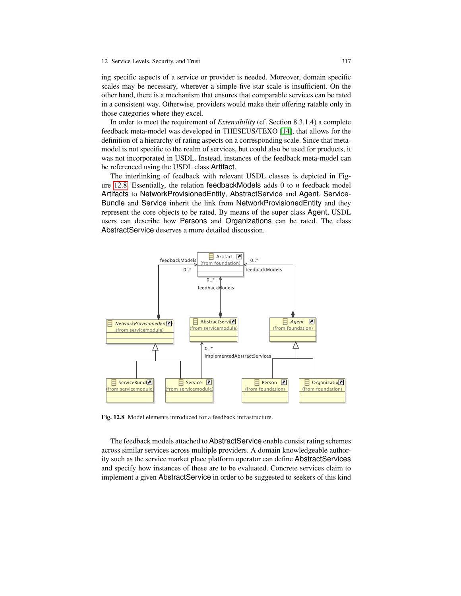ing specific aspects of a service or provider is needed. Moreover, domain specific scales may be necessary, wherever [a si](#page-25-3)mple five star scale is insufficient. On the other hand, there is a mechanism that ensures that comparable services can be rated in a consistent way. Otherwise, providers would make their offering ratable only in those categories where they excel.

In order to meet the requirement of *Extensibility* (cf. Section 8.3.1.4) a complete feedback meta-model was developed in THESEUS/TEXO [14], that allows for the definition of a hierarchy of rating aspects on a corresponding scale. Since that metamodel is not specific to the realm of services, but could also be used for products, it was not incorporated in USDL. Instead, instances of the feedback meta-model can be referenced using the USDL class Artifact.

The interlinking of feedback with relevant USDL classes is depicted in Figure 12.8. Essentially, the relation feedbackModels adds 0 to *n* feedback model Artifacts to NetworkProvisionedEntity, AbstractService and Agent. Service-Bundle and Service inherit the link from NetworkProvisionedEntity and they represent the core objects to be rated. By means of the super class Agent, USDL users can describe how Persons and Organizations can be rated. The class AbstractService deserves a more detailed discussion.



Fig. 12.8 Model elements introduced for a feedback infrastructure.

The feedback models attached to AbstractService enable consist rating schemes across similar services across multiple providers. A domain knowledgeable authority such as the service market place platform operator can define AbstractServices and specify how instances of these are to be evaluated. Concrete services claim to implement a given AbstractService in order to be suggested to seekers of this kind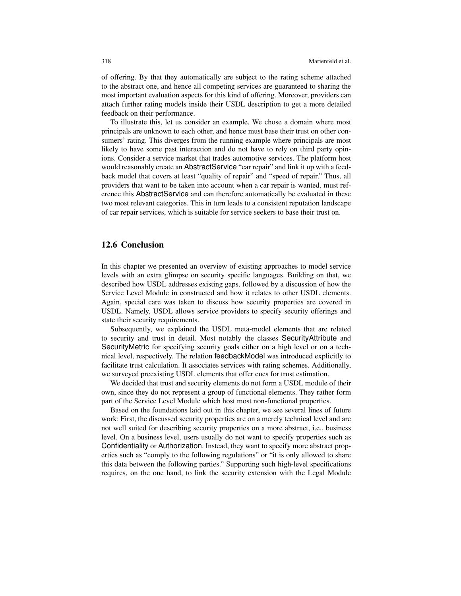of offering. By that they automatically are subject to the rating scheme attached to the abstract one, and hence all competing services are guaranteed to sharing the most important evaluation aspects for this kind of offering. Moreover, providers can attach further rating models inside their USDL description to get a more detailed feedback on their performance.

To illustrate this, let us consider an example. We chose a domain where most principals are unknown to each other, and hence must base their trust on other consumers' rating. This diverges from the running example where principals are most likely to have some past interaction and do not have to rely on third party opinions. Consider a service market that trades automotive services. The platform host would reasonably create an AbstractService "car repair" and link it up with a feedback model that covers at least "quality of repair" and "speed of repair." Thus, all providers that want to be taken into account when a car repair is wanted, must reference this AbstractService and can therefore automatically be evaluated in these two most relevant categories. This in turn leads to a consistent reputation landscape of car repair services, which is suitable for service seekers to base their trust on.

## <span id="page-23-0"></span>12.6 Conclusion

In this chapter we presented an overview of existing approaches to model service levels with an extra glimpse on security specific languages. Building on that, we described how USDL addresses existing gaps, followed by a discussion of how the Service Level Module in constructed and how it relates to other USDL elements. Again, special care was taken to discuss how security properties are covered in USDL. Namely, USDL allows service providers to specify security offerings and state their security requirements.

Subsequently, we explained the USDL meta-model elements that are related to security and trust in detail. Most notably the classes SecurityAttribute and SecurityMetric for specifying security goals either on a high level or on a technical level, respectively. The relation feedbackModel was introduced explicitly to facilitate trust calculation. It associates services with rating schemes. Additionally, we surveyed preexisting USDL elements that offer cues for trust estimation.

We decided that trust and security elements do not form a USDL module of their own, since they do not represent a group of functional elements. They rather form part of the Service Level Module which host most non-functional properties.

Based on the foundations laid out in this chapter, we see several lines of future work: First, the discussed security properties are on a merely technical level and are not well suited for describing security properties on a more abstract, i.e., business level. On a business level, users usually do not want to specify properties such as Confidentiality or Authorization. Instead, they want to specify more abstract properties such as "comply to the following regulations" or "it is only allowed to share this data between the following parties." Supporting such high-level specifications requires, on the one hand, to link the security extension with the Legal Module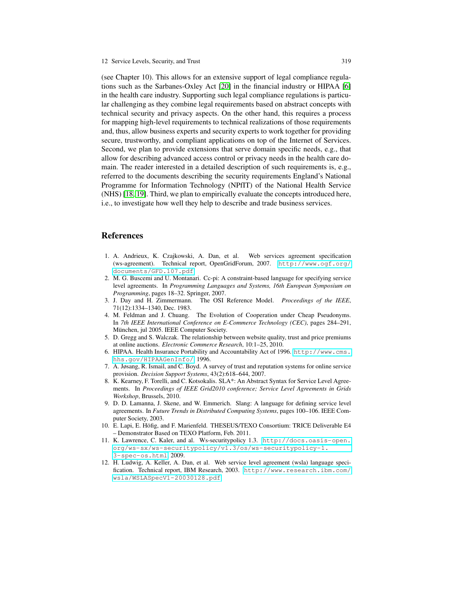(see Chapter 10). This allows for an extensive support of legal compliance regulations such as the Sarbanes-Oxley Act [20] in the financial industry or HIPAA [6] in the health care industry. Supporting such legal compliance regulations is particular challenging as they combine legal requirements based on abstract concepts with technical security and privacy aspects. On the other hand, this requires a process for mapping high-level requirements to technical realizations of those requirements and, thus, allow business experts and security experts to work together for providing secure, trustworthy, and compliant applications on top of the Internet of Services. Second, we plan to provide extensions that serve domain specific needs, e.g., that allow for describing advanced access control or privacy needs in the health care domain. The reader interested in a detailed description of such requirements is, e.g., referred to the documents describing the security requirements England's National Programme for Information Technology (NPfIT) of the National Health Service (NHS) [18, 19]. Third, we plan to empirically evaluate the concepts introduced here, i.e., to investigate how well they help to describe and trade business services.

## <span id="page-24-5"></span><span id="page-24-2"></span>References

- 1. A. Andrieux, K. Czajkowski, A. Dan, et al. Web services agreement specification (ws-agreement). Technical report, OpenGridForum, 2007. http://www.ogf.org/ documents/GFD.107.pdf.
- <span id="page-24-7"></span>2. M. G. Buscemi and U. Montanari. Cc-pi: A constraint-based language for specifying service level agreements. In *Programming Languages and Systems, 16th European Symposium on Programming*, pages 18–32. Springer, 2007.
- <span id="page-24-1"></span>3. J. Day and H. Zimmermann. The OSI [Reference Model.](http://www.cms.hhs.gov/HIPAAGenInfo/) *Proceedings of the IEEE*, 71(12):1334–1340, Dec. 1983.
- <span id="page-24-0"></span>4. [M. F](http://www.cms.hhs.gov/HIPAAGenInfo/)eldman and J. Chuang. The Evolution of Cooperation under Cheap Pseudonyms. In *7th IEEE International Conference on E-Commerce Technology (CEC)*, pages 284–291, München, jul 2005. IEEE Computer Society.
- <span id="page-24-4"></span>5. D. Gregg and S. Walczak. The relationship between website quality, trust and price premiums at online auctions. *Electronic Commerce Research*, 10:1–25, 2010.
- <span id="page-24-3"></span>6. HIPAA. Health Insurance Portability and Accountability Act of 1996. http://www.cms. hhs.gov/HIPAAGenInfo/, 1996.
- 7. A. Jøsang, R. Ismail, and C. Boyd. A survey of trust and reputation systems for online service provision. *Decision Support Systems*, 43(2):618–644, 2007.
- <span id="page-24-6"></span>8. K. Kearney, F. Torelli, and C. Kotsokalis. SLA\*: An Abstract Syntax for Service Level Agreements. In *Proceedings of IE[EE Grid2010 conference; Service L](http://docs.oasis-open.org/ws-sx/ws-securitypolicy/v1.3/os/ws-securitypolicy-1.3-spec-os.html)evel Agreements in Grids Workshop*, Brussels, 2010.
- 9. [D. D. Lamanna, J. Skene, and W. Emmerich. Slang: A language](http://docs.oasis-open.org/ws-sx/ws-securitypolicy/v1.3/os/ws-securitypolicy-1.3-spec-os.html) for defining service level agreements. In *Future Trends in Distributed Computing Systems*, pages 100–106. IEEE Computer Society, 2003.
- 10. E. Lapi, E. Höfig, and [F. Marienfeld. THESEUS/TEXO Consortiu](http://www.research.ibm.com/wsla/WSLASpecV1-20030128.pdf)m: TRICE Deliverable E4 [– Demonstrator](http://www.research.ibm.com/wsla/WSLASpecV1-20030128.pdf) Based on TEXO Platform, Feb. 2011.
- 11. K. Lawrence, C. Kaler, and al. Ws-securitypolicy 1.3. http://docs.oasis-open. org/ws-sx/ws-securitypolicy/v1.3/os/ws-securitypolicy-1. 3-spec-os.html, 2009.
- 12. H. Ludwig, A. Keller, A. Dan, et al. Web service level agreement (wsla) language specification. Technical report, IBM Research, 2003. http://www.research.ibm.com/ wsla/WSLASpecV1-20030128.pdf.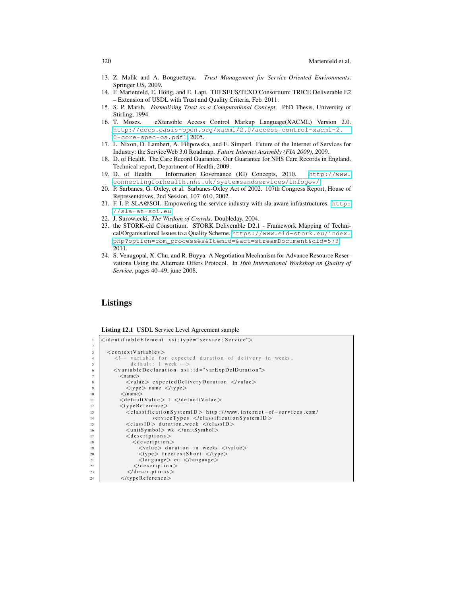- 13. Z. Malik and A. Bouguettaya. *Trust Management for Service-Oriented Environments*. [Springer US, 2009.](http://docs.oasis-open.org/xacml/2.0/access_control-xacml-2.0-core-spec-os.pdfl)
- [14.](http://docs.oasis-open.org/xacml/2.0/access_control-xacml-2.0-core-spec-os.pdfl) F. Marienfeld, E. Höfig, and E. Lapi. THESEUS/TEXO Consortium: TRICE Deliverable E2 – Extension of USDL with Trust and Quality Criteria, Feb. 2011.
- 15. S. P. Marsh. *Formalising Trust as a Computational Concept*. PhD Thesis, University of Stirling, 1994.
- 16. T. Moses. eXtensible Access Control Markup Language(XACML) Version 2.0. http://docs.oasis-open.org/xacml[/2.0/access\\_c](http://www.connectingforhealth.nhs.uk/systemsandservices/infogov/)ontrol-xacml-2. [0-core-spec-os.pdfl](http://www.connectingforhealth.nhs.uk/systemsandservices/infogov/), 2005.
- 17. L. Nixon, D. Lambert, A. Filipowska, and E. Simperl. Future of the Internet of Services for Industry: the ServiceWeb 3.0 Roadmap. *Future Internet Assembly (FIA 2009)*, 2009.
- [1](http://sla-at-soi.eu)8. D. of Health. The Care Record Guarantee. Our Guarantee [for NHS](http://sla-at-soi.eu) Care Records in England. Technical report, Department of Health, 2009.
- <span id="page-25-2"></span><span id="page-25-0"></span>19. D. of Health. Information Governance (IG) Concepts, 2010. http://www. connectingforhealth.nhs.uk/systemsandservices/infogov/.
- 20. P. Sarbanes, G. Ox[ley, et al. Sarbanes-Oxley Act of 2002. 107th C](https://www.eid-stork.eu/index.php?option=com_processes&Itemid=&act=streamDocument&did=579)ongress Report, House of [Representatives, 2nd Session, 107–610, 2002.](https://www.eid-stork.eu/index.php?option=com_processes&Itemid=&act=streamDocument&did=579)
- 21. F. I. P. SLA@SOI. Empowering the service industry with sla-aware infrastructures. http: //sla-at-soi.eu.
- 22. J. Surowiecki. *The Wisdom of Crowds*. Doubleday, 2004.
- 23. the STORK-eid Consortium. STORK Deliverable D2.1 Framework Mapping of Technical/Organisational Issues to a Quality Scheme. https://www.eid-stork.eu/index. php?option=com\_processes&Itemid=&act=streamDocument&did=579, 2011.
- 24. S. Venugopal, X. Chu, and R. Buyya. A Negotiation Mechanism for Advance Resource Reservations Using the Alternate Offers Protocol. In *16th International Workshop on Quality of Service*, pages 40–49, june 2008.

## Listings

|  |  | Listing 12.1 USDL Service Level Agreement sample |  |
|--|--|--------------------------------------------------|--|
|--|--|--------------------------------------------------|--|

| 1              | <identifiableelement xsi:type="service:Service"></identifiableelement>        |
|----------------|-------------------------------------------------------------------------------|
| 2              |                                                                               |
| 3              | $\langle$ context V ariables $>$                                              |
| $\overline{4}$ | $\leq$ - variable for expected duration of delivery in weeks,                 |
| 5              | $default: 1 week \rightarrow$                                                 |
| 6              | $\langle$ variableDeclaration xsi:id="varExpDelDuration">                     |
| $\overline{7}$ | $<$ name $>$                                                                  |
| 8              | $\langle$ value $\rangle$ expectedDeliveryDuration $\langle$ /value $\rangle$ |
| 9              | $\langle$ type $\rangle$ name $\langle$ /type $\rangle$                       |
| 10             | $<$ /name $>$                                                                 |
| 11             | $\langle$ defaultValue $>1$ $\langle$ /defaultValue $>$                       |
| 12             | $lt$ vpe $Reference$                                                          |
| 13             | $\langle$ classification System ID $>$ http://www.internet-of-services.com/   |
| 14             | $s$ erviceTypes $\langle$ /classificationSystemID $\rangle$                   |
| 15             | $\langle class ID \rangle$ duration_week $\langle class ID \rangle$           |
| 16             | $\langle \text{unitSymbol} \rangle$ wk $\langle \text{unitSymbol} \rangle$    |
| 17             | $<$ descriptions $>$                                                          |
| 18             | $<$ description $>$                                                           |
| 19             | $\langle$ value $\rangle$ duration in weeks $\langle$ /value $\rangle$        |
| 20             | $\langle$ type $\rangle$ freetextShort $\langle$ /type $\rangle$              |
| 21             | $\langle$ language $\rangle$ en $\langle$ /language $\rangle$                 |
| 22             | $\langle$ /description $\rangle$                                              |
| 23             | $\langle$ /descriptions>                                                      |
| 24             | $\langle$ /typeReference>                                                     |

<span id="page-25-3"></span><span id="page-25-1"></span>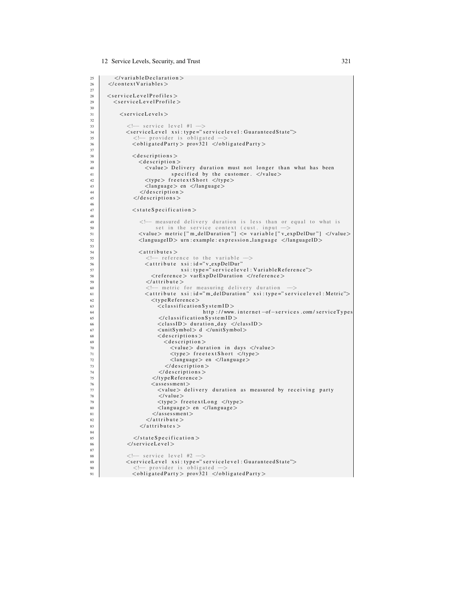$27$ 

30

32

37

46

48

53

84

87

```
25 \langle/variableDeclaration >
     \langle/contextVariables >
28 | \les ervice Level Profiles >
29 \le serviceLevelProfile >
31 <serviceLevels>
33 <!— service level #1 −
34 | <serviceLevel xsi:type="servicelevel: GuaranteedState">
35 <!— provider is obligated
36 | <obligated Party > prov321 </obligated Party >
38 <descriptions>
39 \leq description >40 <value> Delivery duration must not longer than what has been
41 specified by the customer. \langle \text{value} \rangle<br>
\langle \text{true} \rangle freetext Short \langle \text{true} \rangle\langletype\rangle freetextShort \langle/type\rangle43 | \langlelanguage > en \langlelanguage >
44 | \langle/description >
\langle descriptions >
47 < state S pecification >
49 <br>
\lt! \vdots measured delivery duration is less than or equal to what is<br>
set in the service context (cust. input \Rightarrowset in the service context (cust. input \rightarrow51 <value> metric ["m_delDuration"] <= variable ["v_expDelDur"] </value>
52 <languageID> urn : example : expression -language </languageID>
54 < attributes >
55 <!— reference to the variable -
56 <br>
57 <attribute xsi:id="v_expDelDur"<br>
57 xsi:type="servicelev
                            xsi : type = " service level : VariableReference" \rangle58 <reference> varExpDelDuration </reference>
59 \langle attribute >
60 <!-- metric for measuring delivery duration
61 \langle attribute xsi: id =" m_del Duration " xsi: type =" service level : Metric"><br>
\langle type Reference >
                   <typeReference>63 | <classification System ID >
64 http://www.internet-of-services.com/serviceTypes
\langle/classification System ID >
66 <classID> duration_day </classID>
67 \langle \text{unitsymbol} \rangle d \langle \text{/unitsymbol} \rangle68 \sim descriptions >
69 \leq description >70 | <value> duration in days </value>
71 | \langle \text{type} \rangle freetext Short \langle \text{type} \rangle\frac{72}{2} \langle \text{language} \rangle en \langle \text{language} \rangle73 \vert \langle / description \rangle74 \langle descriptions >
75 \langle/typeReference>
76 <a s s e s s m e nt>
                     \langlevalue> delivery duration as measured by receiving party
78 \langle \text{Value} \rangle79 <br> $\langle type \rangle$ free textLong <math>\langle type \rangle$80 | \langlelanguage > en \langlelanguage >
\langle / assessment >
82 \langle attribute >
\frac{83}{ } \leq / attributes >
\frac{85}{100} \leq/stateSpecification >
\frac{86}{100} \leq/serviceLevel>
88 <! service level #2 →
89 <serviceLevel xsi:type="servicelevel:GuaranteedState">
90 <!— provider is obligated -
91 | <obligated Party > prov321 </obligated Party >
```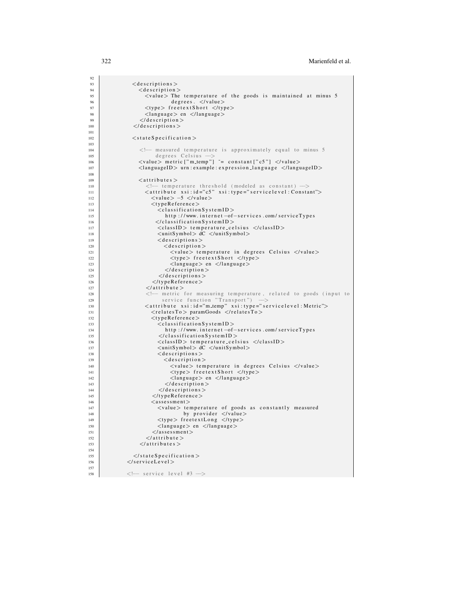92  $93$   $\leq$  descriptions  $>$  $94$   $\langle$  description  $\rangle$ 95 <value> The temperature of the goods is maintained at minus 5 96 degrees.  $\langle \text{Value} \rangle$  $\langle$  type > free text S h or t  $\langle$  type > 98 |  $\langle$ language> en  $\langle$ language> 99  $\langle$ /description >  $100$   $\langle$  descriptions > 101  $102$   $\langle$  state S pecification > 103 104 <! measured temperature is approximately equal to minus 5 105 degrees Celsius →>  $106$  <br>  $\langle value \rangle$  metric ["m\_temp"]  $\tilde{=} constant$  ["c5"]  $\langle value \rangle$ 107 <languageID> urn : example : expression\_language </languageID> 108  $109$   $\langle$  attributes >  $110$   $\leq$   $\leq$  temperature threshold (modeled as constant)  $\Rightarrow$ 111 | <attribute xsi: id="c5" xsi: type=" servicelevel : Constant">  $112$   $\langle value \rangle -5 \langle value \rangle$ 113  $\langle \text{typeReference} \rangle$ 114 | <classification System ID > 115 http://www.internet-of-services.com/serviceTypes  $116$   $\langle$ /classification System ID > 117 | <classID> temperature\_celsius </classID> 118 |  $\langle \text{unitsymbol} \rangle$  dC  $\langle \text{/unitsymbol} \rangle$  $\langle$  descriptions ><br>  $\langle$  description ><br>  $\langle$  description >  $<$ description > 121 <value> temperature in degrees Celsius </value> 122 | <type> freetextShort </type> 123 |  $\langle$ language > en  $\langle$ language >  $124$   $\langle$  description >  $125$   $\langle$  descriptions >  $126$   $\langle$ /typeReference>  $\vert$  127  $\vert$   $\langle$  / attribute > 128 <!-- metric for measuring temperature, related to goods (input to 129 service function "Transport") -130 |  $\langle$  attribute xsi:id="m\_temp" xsi:type="servicelevel: Metric"> 131 | <relatesTo > paramGoods </relatesTo >  $132$   $$\langle \text{typeReference} \rangle$$ 133 <classification System ID > 134 http://www.internet-of-services.com/serviceTypes 135 / classification System ID ><br>  $\langle$  class ID > temperature cel  $\langle class ID \rangle$  temperature\_celsius  $\langle class ID \rangle$ 137 |  $\langle \text{unitSymbol} \rangle \text{ d} \text{C} \langle \text{unitSymbol} \rangle$  $138$   $\leq$  descriptions  $>$  $\vert$  139  $\vert$   $\langle$  description  $\rangle$ 140 | <value> temperature in degrees Celsius </value> 141 |  $\langle \text{type} \rangle$  freetext Short  $\langle \text{type} \rangle$ 142 |  $\langle$ language> en  $\langle$ language>  $143$   $\langle$  description >  $144$   $\langle$  descriptions > 145 | </typeReference>  $146$   $<$  assessment> 147 <value> temperature of goods as constantly measured 148 by provider  $\langle \text{Value} \rangle$ 149 | <type> freetextLong </type> 150 |  $\langle$ language> en  $\langle$ language>  $151$   $\langle /$  as sessment >  $152$   $\angle$  /attribute >  $153$   $\langle$  attributes > 154  $155$   $\langle$ /stateSpecification > 156 </serviceLevel> 157 158 <! service level #3 →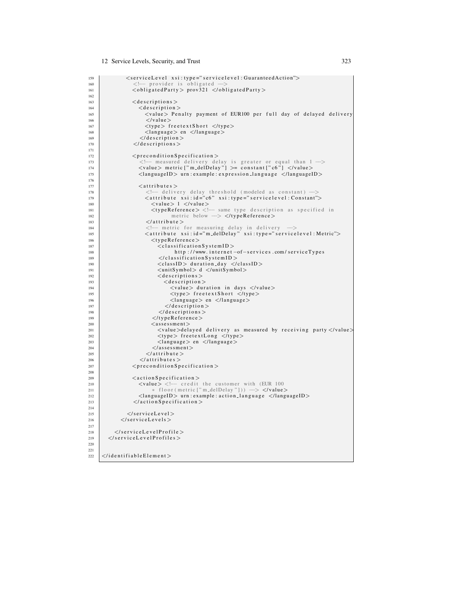162

<span id="page-28-0"></span>221

```
159 \langle serviceLevel xsi:type="servicelevel: Guaranteed Action"><br>160 \langle - provider is obligated ->
                \lt! provider is obligated
161 <obligated Party > prov321 </obligated Party
163 \langle descriptions >
164 <br><164165 <value> Penalty payment of EUR100 per full day of delayed delivery
166 \langle /yalue>
167 <br> \langle type> free text S h o rt \langle type>
168 | \langlelanguage> en \langlelanguage>
169 \langle description >
170 \langle descriptions >
171
172 <p r e c o n d i t i o n S p e c i f i c a t i o n >
173 | <!-- measured delivery delay is greater or equal than 1 -->
|174| \langle value > metric [" m_delDelay"] >= constant ["c6"] \langle/value >
175 | <languageID> urn : example : expression_language </languageID>
176
177 <br> \langle attributes >
178 | <! delivery delay threshold (modeled as constant) →
179 <a t t r i b u t e x s i : i d =" c6 " x s i : t y p e =" s e r v i c e l e v e l : C o n st a n t">
180 \langle value \rangle 1 \langle value \rangle181 \langle \text{typeReference} \rangle \langle \text{--} \rangle same type description as specified in metric below \rightarrow \langle \text{typeReference} \rangle183 \vert \langle attribute >
184 | <!— metric for measuring delay in delivery →
185 | <attribute xsi:id ="m_delDelay" xsi:type ="servicelevel : Metric">
186 <t y p e R e f e r e n c e>
                         < class if i cation S y s t e m I D >188 http://www.internet-of-services.com/serviceTypes
189 <br> \langle/classification System ID >
190 | <classID > duration_day </classID >
191 | \langle \text{unitSymbol} \rangle \, \text{d} \, \langle \text{unitSymbol} \rangle192 | <descriptions>
193 \leq description >194 | <value> duration in days </value>
195 | <type> freetextShort </type>
196 <br>
197 <br>
197 <br>
2/description >
                            \langle/ description >
198 \langle descriptions >
199 \langle/typeReference>
200 \langle assessment\rangle201 <value>delayed delivery as measured by receiving party </value>
202 <br>
202 <br>
2011 <br>
202 <br>
202 <br>
2012 <br>
202 <br>
202 <br>
202 <br>
202 <br>
202 <br>
202 <br>
202 <br>
2013 <br>
2013 <br>
2014 <br>
2014 <br>
2014 <br>
2014 <br>
202 <br>
2014 <br>
202 <br>
202 <br>
302 <br>
302 <br>
302 <br>
302 <br>
302 <br>
302 <br>
302 <br>
302 <br>
302 <br>
302 <br>
302 <br>
302 <br>
302
                         \langlelanguage\rangle en \langlelanguage\rangle204 \langle / as sessment >
205 \langle attribute >
206 \angle / attributes >
207 | <precondition Specification >
208
209 <br> \langle \arctan \text{S} \text{pecification} \rangle210 <v al u e> <!−− c r e d i t t h e c u st om e r wit h (EUR 100
211 ∗ f l o o r ( m e t r i c [ " m d elD el a y " ] ) ) −−> </ v al u e>
212 <languageID> urn : example : action_language </languageID>
213 \langle / action Specification >
214215 \leq / service Level >
216 \langle/serviceLevels>
217
218 \vert \langle/serviceLevelProfile>
219 \leq / service Level Profiles >
220
222 \times \leq / identifiable Element >
```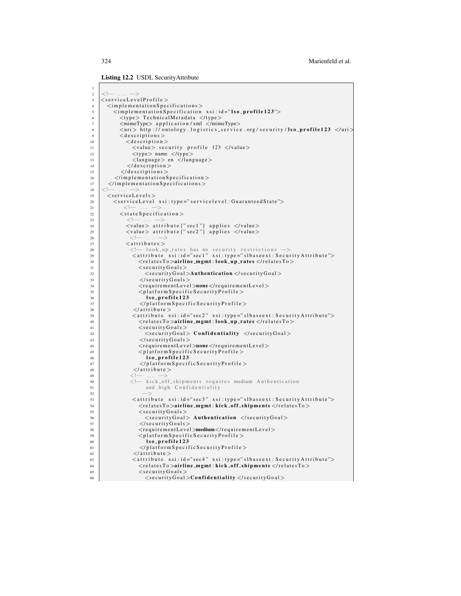Listing 12.2 USDL SecurityAttribute

```
2 \leq \leq \leq3 \leqs ervice Level Profile >4 \mid \langleimplementationSpecifications>
5 | \langle implementation Specification xsi: id="lso_profile123">
6 \langle \langle type\rangle TechnicalMetadata \langle/type\rangle7 | \langlemimeType> application / xml \langle/mimeType>
8 <u ri> h t t p : / / o nt ol o g y . l o g i s t i c s s e r v i c e . o r g / s e c u r i t y / l s o p r o f i l e 1 2 3 </ u ri>
9 \mid \langle \text{descriptions} \rangle10 \langle description >
11 \langle value \rangle security profile 123 \langle value \rangle12 $\langle \text{type} \rangle$ name $\langle \text{type} \rangle$13 | <language> en </language>
14 \langle description >
15 \langle descriptions >
16 \langle/implementationSpecification>
17 | \langleimplementationSpecifications>
\begin{array}{c|c} 18 & & & & & -1.1 & \\ 10 & & & & & & & \end{array}\langles er vice Levels \rangle20 <serviceLevel xsi:type="servicelevel: GuaranteedState">
21 \leq \leq \leq22 <s t a t e S p e c i f i c a t i o n >
23 \leq - ...
24 | \langlevalue > attribute ["sec1"] applies \langle/value >
\frac{27}{25} \leq value attribute [" sec 2"] applies \leq/value >
26 | <!— ... →>
27 attributes
28 <!-- look_up_rates has no security restrictions ->
29 <attribute xsi:id="sec1" xsi:type="slbaseext: Security Attribute">
30 <r e l a t e s T o >ai rli n e m gm t : l o o k u p r a t e s </ r e l a t e s T o >
31 <securityGoals>
32 | <securityGoal>Authentication </securityGoal>
33 \langle/securityGoals
34 | \langlerequirementLevel>none\langlerequirementLevel>
35 | <platformSpecificSecurityProfile>
36 l s o p r o f i l e 1 2 3
37 \vert \langle/platform Specific Security Profile >
38 \langle attribute >
39 <attribute xsi:id="sec2" xsi:type="slbaseext: Security Attribute">
40 <r e l a t e s T o >ai rli n e m gm t : l o o k u p r a t e s </ r e l a t e s T o >
41 \langle security Goals \rangle42 <securityGoal> Confidentiality </securityGoal>
\langle/securityGoals >
44 <requirementLevel>none</requirementLevel>
45 | <platform Specific Security Profile >
\begin{array}{c|c}\n 46 & \text{lso}, \text{profile} 123\n \end{array}\langle/platform Specific Security Profile >
48 \langle/attribute >
49 <!−− . . . −−>
50 <!-- kick_off_shipments requires medium Authentication
51 and high Confidentiality
52 −−>
53 | \leqattribute xsi:id="sec3" xsi:type="slbaseext:SecurityAttribute">
54 <celatesTo>airline_mgmt:kick_off_shipments </relatesTo>
55 > \le security Goals > \le security Goal > \le security Goal >
                   \langlesecurityGoal> Authentication \langle/securityGoal>57 \angle/ security Goals >
58 | <requirement Level >medium </requirement Level >
59 <br>20 at f or m S p e c i f i c S e c u r i t y P r o f i l e >60 | lso_profile123
61 | </platform Specific Security Profile>
62 <br> \langle/attribute ><br> \langleattribute x
              \langle attribute xsi: id="sec4" xsi: type="slbaseext: Security Attribute">
64 | <relatesTo>airline_mgmt:kick_off_shipments </relatesTo>
\langle security Goals >
66 | <securityGoal>Confidentiality </securityGoal>
```
1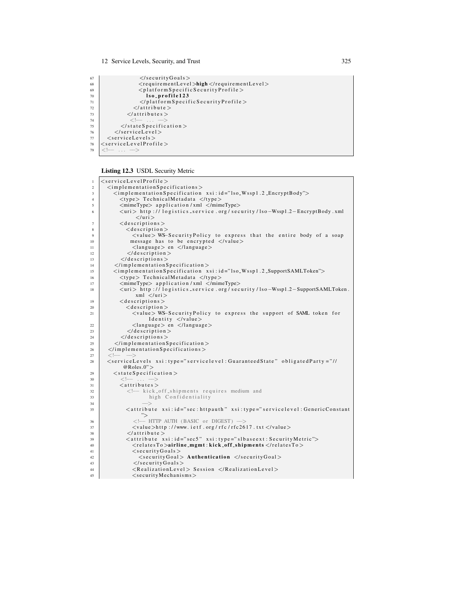```
\langle/securityGoals >
68 <br>
\langle \text{requirementLevel} \ranglehigh \langle \text{required} \rangle69 | <platformSpecificSecurityProfile>
70 \vert 1so_profile 123
71 / \langle platform Specific Security Profile >
72 \angle /attribute >
73 \langle attributes >
74 <!−− . . . −−>
75 </ s t a t e S p e c i f i c a t i o n >
76 \le/serviceLevel>
77 <serviceLevels>
78 | \lt service Level Profile >79 <!— ... →>
```
<span id="page-30-0"></span>Listing 12.3 USDL Security Metric

```
1 \leqs ervice Level Profile >
2 \mid \langle implementation Specifications >
3 | \langleimplementationSpecification xsi:id="lso_Wssp1.2_EncryptBody">
4 <type> TechnicalMetadata </type>
5 | \langlemimeType> application / xml \langle/mimeType>
6 <uri> http://logistics_service.org/security/lso-Wssp1.2–EncryptBody.xml
              \langle/uri>7 \sim descriptions >
8 <description>
9 <value> WS-Security Policy to express that the entire body of a soap
10 message has to be encrypted \langle/value >
11 \langle language > en \langle language >
12 \langle description >
13 \langle / descriptions >
14 \vert \langle/implementationSpecification>
15 | \langleim plementation Specification xsi:id="lso_Wssp1.2_SupportSAMLToken">
16 | <type> TechnicalMetadata </type>
17 | <mimeType> application / xml </mimeType>
18 | \langle \text{uri} \rangle http :// logistics_service.org/security/lso –Wssp1.2–SupportSAMLToken.
              xml \langle/uri \rangle19 <descriptions>
20 \leq description >21 <value> WS-Security Policy to express the support of SAML token for
                   Id entity \langle/value \rangle22 \langle language > en \langle language >23 \angle description >
24 \langle descriptions >
25 </ i m p l e m e n t a t i o n S p e c i f i c a t i o n >
26 \leq /implementation Specifications >
27 < -28 | <serviceLevels xsi:type="servicelevel:GuaranteedState" obligatedParty="//
          @Roles.0"29 <state Specification >
30 | <!— ... —>
31 <attributes>
32 <!— kick_off_shipments requires medium and
33 high Confidentiality
34 −−>
35 | \leq attribute xsi: id = " sec : httpauth " xsi: type = " servicelevel : Generic Constant
                 ">
36 <!— HTTP AUTH (BASIC or DIGEST) →
37 <br> \langle value >http ://www.ietf.org/rfc/rfc2617.txt\langle/value >
38 \langle attribute \rangle39 <attribute xsi:id="sec5" xsi:type="slbaseext:SecurityMetric"><br>
<elatesTo >airline momt:kick.off shipments </relatesTo >
             \langlerelatesTo>airline_mgmt:kick_off_shipments\langle/relatesTo>41 \langle security Goals >42 | <securityGoal> Authentication </securityGoal>
\langle/securityGoals>
44 <RealizationLevel> Session </RealizationLevel>
45 | <securityMechanisms>
```